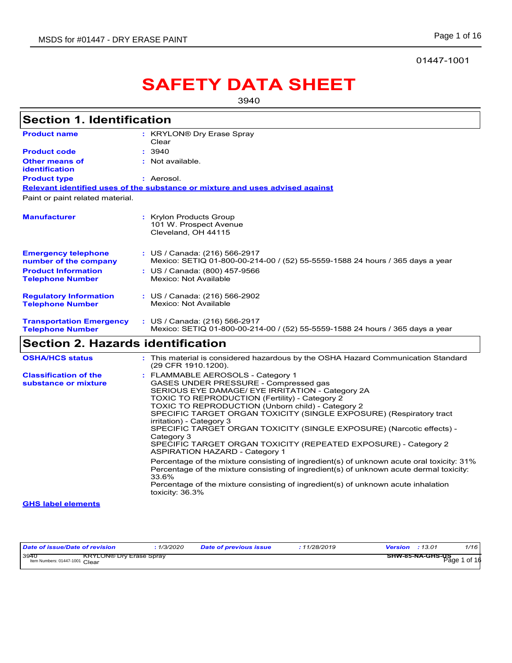01447-1001

# **SAFETY DATA SHEET**

3940

| <b>Section 1. Identification</b>                           |                                                                                                                                                                                                                                                                                                                                                                                                                                                                                                                                             |
|------------------------------------------------------------|---------------------------------------------------------------------------------------------------------------------------------------------------------------------------------------------------------------------------------------------------------------------------------------------------------------------------------------------------------------------------------------------------------------------------------------------------------------------------------------------------------------------------------------------|
| <b>Product name</b>                                        | : KRYLON® Dry Erase Spray<br>Clear                                                                                                                                                                                                                                                                                                                                                                                                                                                                                                          |
| <b>Product code</b>                                        | : 3940                                                                                                                                                                                                                                                                                                                                                                                                                                                                                                                                      |
| <b>Other means of</b>                                      | : Not available.                                                                                                                                                                                                                                                                                                                                                                                                                                                                                                                            |
| identification                                             |                                                                                                                                                                                                                                                                                                                                                                                                                                                                                                                                             |
| <b>Product type</b>                                        | : Aerosol.                                                                                                                                                                                                                                                                                                                                                                                                                                                                                                                                  |
|                                                            | Relevant identified uses of the substance or mixture and uses advised against                                                                                                                                                                                                                                                                                                                                                                                                                                                               |
| Paint or paint related material.                           |                                                                                                                                                                                                                                                                                                                                                                                                                                                                                                                                             |
| <b>Manufacturer</b>                                        | : Krylon Products Group<br>101 W. Prospect Avenue<br>Cleveland, OH 44115                                                                                                                                                                                                                                                                                                                                                                                                                                                                    |
| <b>Emergency telephone</b><br>number of the company        | : US / Canada: (216) 566-2917<br>Mexico: SETIQ 01-800-00-214-00 / (52) 55-5559-1588 24 hours / 365 days a year                                                                                                                                                                                                                                                                                                                                                                                                                              |
| <b>Product Information</b><br><b>Telephone Number</b>      | : US / Canada: (800) 457-9566<br>Mexico: Not Available                                                                                                                                                                                                                                                                                                                                                                                                                                                                                      |
| <b>Regulatory Information</b><br><b>Telephone Number</b>   | : US / Canada: (216) 566-2902<br>Mexico: Not Available                                                                                                                                                                                                                                                                                                                                                                                                                                                                                      |
| <b>Transportation Emergency</b><br><b>Telephone Number</b> | : US / Canada: (216) 566-2917<br>Mexico: SETIQ 01-800-00-214-00 / (52) 55-5559-1588 24 hours / 365 days a year                                                                                                                                                                                                                                                                                                                                                                                                                              |
| <b>Section 2. Hazards identification</b>                   |                                                                                                                                                                                                                                                                                                                                                                                                                                                                                                                                             |
| <b>OSHA/HCS status</b>                                     | : This material is considered hazardous by the OSHA Hazard Communication Standard<br>(29 CFR 1910.1200).                                                                                                                                                                                                                                                                                                                                                                                                                                    |
| <b>Classification of the</b><br>substance or mixture       | : FLAMMABLE AEROSOLS - Category 1<br>GASES UNDER PRESSURE - Compressed gas<br>SERIOUS EYE DAMAGE/ EYE IRRITATION - Category 2A<br>TOXIC TO REPRODUCTION (Fertility) - Category 2<br>TOXIC TO REPRODUCTION (Unborn child) - Category 2<br>SPECIFIC TARGET ORGAN TOXICITY (SINGLE EXPOSURE) (Respiratory tract<br>irritation) - Category 3<br>SPECIFIC TARGET ORGAN TOXICITY (SINGLE EXPOSURE) (Narcotic effects) -<br>Category 3<br>SPECIFIC TARGET ORGAN TOXICITY (REPEATED EXPOSURE) - Category 2<br><b>ASPIRATION HAZARD - Category 1</b> |
|                                                            | Percentage of the mixture consisting of ingredient(s) of unknown acute oral toxicity: 31%<br>Percentage of the mixture consisting of ingredient(s) of unknown acute dermal toxicity:<br>33.6%<br>Percentage of the mixture consisting of ingredient(s) of unknown acute inhalation<br>toxicity: 36.3%                                                                                                                                                                                                                                       |
| <b>GHS label elements</b>                                  |                                                                                                                                                                                                                                                                                                                                                                                                                                                                                                                                             |
|                                                            |                                                                                                                                                                                                                                                                                                                                                                                                                                                                                                                                             |

| Date of issue/Date of revision         | 1/3/2020                       | Date of previous issue | 11/28/2019 | 1/16<br>:13.01<br>Version        |
|----------------------------------------|--------------------------------|------------------------|------------|----------------------------------|
| 3940<br>Item Numbers: 01447-1001 Clear | <b>KRYLON® Dry Erase Spray</b> |                        |            | SHW-85-NA-GHS-US<br>Page 1 of 16 |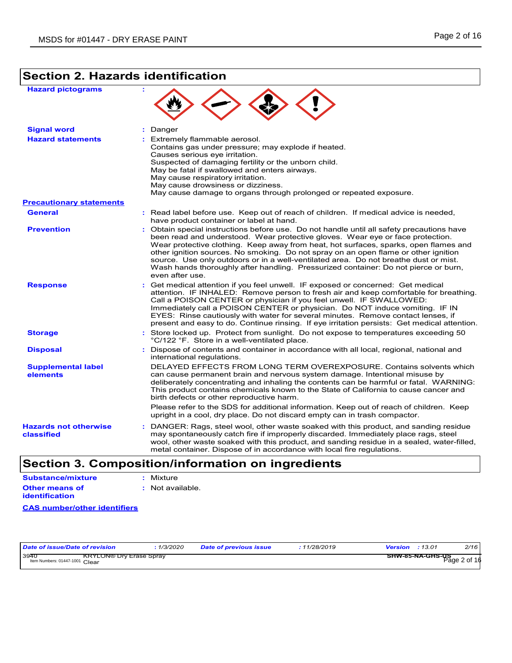## **Section 2. Hazards identification**

| <b>Hazard pictograms</b>                                            |                                                                                                                                                                                                                                                                                                                                                                                                                                                                                                                                                              |
|---------------------------------------------------------------------|--------------------------------------------------------------------------------------------------------------------------------------------------------------------------------------------------------------------------------------------------------------------------------------------------------------------------------------------------------------------------------------------------------------------------------------------------------------------------------------------------------------------------------------------------------------|
| <b>Signal word</b>                                                  | : Danger                                                                                                                                                                                                                                                                                                                                                                                                                                                                                                                                                     |
| <b>Hazard statements</b>                                            | : Extremely flammable aerosol.<br>Contains gas under pressure; may explode if heated.<br>Causes serious eve irritation.<br>Suspected of damaging fertility or the unborn child.<br>May be fatal if swallowed and enters airways.<br>May cause respiratory irritation.<br>May cause drowsiness or dizziness.<br>May cause damage to organs through prolonged or repeated exposure.                                                                                                                                                                            |
| <b>Precautionary statements</b>                                     |                                                                                                                                                                                                                                                                                                                                                                                                                                                                                                                                                              |
| <b>General</b>                                                      | : Read label before use. Keep out of reach of children. If medical advice is needed,<br>have product container or label at hand.                                                                                                                                                                                                                                                                                                                                                                                                                             |
| <b>Prevention</b>                                                   | : Obtain special instructions before use. Do not handle until all safety precautions have<br>been read and understood. Wear protective gloves. Wear eye or face protection.<br>Wear protective clothing. Keep away from heat, hot surfaces, sparks, open flames and<br>other ignition sources. No smoking. Do not spray on an open flame or other ignition<br>source. Use only outdoors or in a well-ventilated area. Do not breathe dust or mist.<br>Wash hands thoroughly after handling. Pressurized container: Do not pierce or burn,<br>even after use. |
| <b>Response</b>                                                     | : Get medical attention if you feel unwell. IF exposed or concerned: Get medical<br>attention. IF INHALED: Remove person to fresh air and keep comfortable for breathing.<br>Call a POISON CENTER or physician if you feel unwell. IF SWALLOWED:<br>Immediately call a POISON CENTER or physician. Do NOT induce vomiting. IF IN<br>EYES: Rinse cautiously with water for several minutes. Remove contact lenses, if<br>present and easy to do. Continue rinsing. If eye irritation persists: Get medical attention.                                         |
| <b>Storage</b>                                                      | : Store locked up. Protect from sunlight. Do not expose to temperatures exceeding 50<br>°C/122 °F. Store in a well-ventilated place.                                                                                                                                                                                                                                                                                                                                                                                                                         |
| <b>Disposal</b>                                                     | : Dispose of contents and container in accordance with all local, regional, national and<br>international regulations.                                                                                                                                                                                                                                                                                                                                                                                                                                       |
| <b>Supplemental label</b><br>elements                               | DELAYED EFFECTS FROM LONG TERM OVEREXPOSURE, Contains solvents which<br>can cause permanent brain and nervous system damage. Intentional misuse by<br>deliberately concentrating and inhaling the contents can be harmful or fatal. WARNING:<br>This product contains chemicals known to the State of California to cause cancer and<br>birth defects or other reproductive harm.                                                                                                                                                                            |
|                                                                     | Please refer to the SDS for additional information. Keep out of reach of children. Keep<br>upright in a cool, dry place. Do not discard empty can in trash compactor.                                                                                                                                                                                                                                                                                                                                                                                        |
| <b>Hazards not otherwise</b><br>classified                          | : DANGER: Rags, steel wool, other waste soaked with this product, and sanding residue<br>may spontaneously catch fire if improperly discarded. Immediately place rags, steel<br>wool, other waste soaked with this product, and sanding residue in a sealed, water-filled,<br>metal container. Dispose of in accordance with local fire regulations.                                                                                                                                                                                                         |
| $\triangle$ = $\triangle$ = $\triangle$<br>$\overline{\phantom{a}}$ | $\sim$ 1: $\sim$ 6 $\sim$ 1<br>للالمدام الأوالم المامديمان                                                                                                                                                                                                                                                                                                                                                                                                                                                                                                   |

### **Section 3. Composition/information on ingredients**

| Substance/mixture | : Mixture        |
|-------------------|------------------|
| Other means of    | : Not available. |
| identification    |                  |

#### **CAS number/other identifiers**

| Date of issue/Date of revision         |                                | 1/3/2020 | <b>Date of previous issue</b> | : 11/28/2019 | Version | :13.01           | 2/16         |
|----------------------------------------|--------------------------------|----------|-------------------------------|--------------|---------|------------------|--------------|
| 3940<br>Item Numbers: 01447-1001 Clear | <b>KRYLON® Dry Erase Spray</b> |          |                               |              |         | SHW-85-NA-GHS-US | Page 2 of 16 |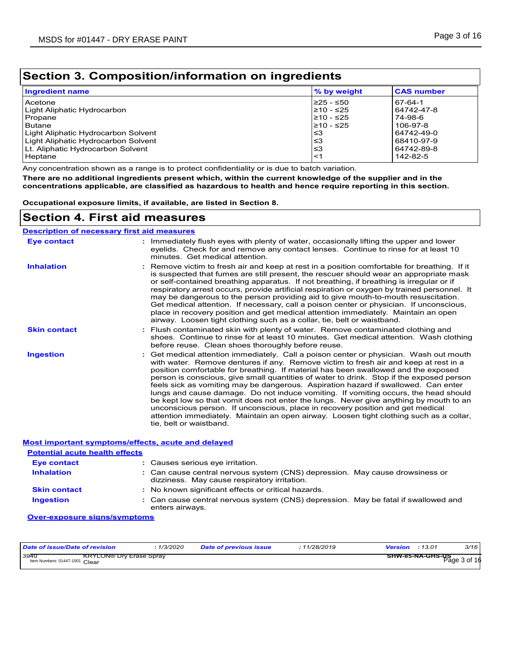### **Section 3. Composition/information on ingredients**

| <b>Ingredient name</b>              | % by weight | <b>CAS number</b> |
|-------------------------------------|-------------|-------------------|
| Acetone                             | 225 - ≤50   | 167-64-1          |
| Light Aliphatic Hydrocarbon         | 210 - ≤25   | 64742-47-8        |
| Propane                             | 210 - ≤25   | 74-98-6           |
| <b>Butane</b>                       | $≥10 - ≤25$ | 106-97-8          |
| Light Aliphatic Hydrocarbon Solvent | ا≤3         | 64742-49-0        |
| Light Aliphatic Hydrocarbon Solvent | ا≤3         | 68410-97-9        |
| Lt. Aliphatic Hydrocarbon Solvent   | ا≤3         | 64742-89-8        |
| Heptane                             | ∣<1         | 142-82-5          |

Any concentration shown as a range is to protect confidentiality or is due to batch variation.

**There are no additional ingredients present which, within the current knowledge of the supplier and in the concentrations applicable, are classified as hazardous to health and hence require reporting in this section.**

**Occupational exposure limits, if available, are listed in Section 8.**

### **Section 4. First aid measures**

#### Get medical attention immediately. Call a poison center or physician. Wash out mouth with water. Remove dentures if any. Remove victim to fresh air and keep at rest in a position comfortable for breathing. If material has been swallowed and the exposed person is conscious, give small quantities of water to drink. Stop if the exposed person feels sick as vomiting may be dangerous. Aspiration hazard if swallowed. Can enter lungs and cause damage. Do not induce vomiting. If vomiting occurs, the head should be kept low so that vomit does not enter the lungs. Never give anything by mouth to an unconscious person. If unconscious, place in recovery position and get medical attention immediately. Maintain an open airway. Loosen tight clothing such as a collar, tie, belt or waistband. **:** Immediately flush eyes with plenty of water, occasionally lifting the upper and lower eyelids. Check for and remove any contact lenses. Continue to rinse for at least 10 minutes. Get medical attention. Flush contaminated skin with plenty of water. Remove contaminated clothing and **:** shoes. Continue to rinse for at least 10 minutes. Get medical attention. Wash clothing before reuse. Clean shoes thoroughly before reuse. Remove victim to fresh air and keep at rest in a position comfortable for breathing. If it **:** is suspected that fumes are still present, the rescuer should wear an appropriate mask or self-contained breathing apparatus. If not breathing, if breathing is irregular or if respiratory arrest occurs, provide artificial respiration or oxygen by trained personnel. It may be dangerous to the person providing aid to give mouth-to-mouth resuscitation. Get medical attention. If necessary, call a poison center or physician. If unconscious, place in recovery position and get medical attention immediately. Maintain an open airway. Loosen tight clothing such as a collar, tie, belt or waistband. **Eye contact Skin contact Inhalation Ingestion : Description of necessary first aid measures**

|                                       | <b>Most important symptoms/effects, acute and delayed</b>                                                                    |
|---------------------------------------|------------------------------------------------------------------------------------------------------------------------------|
| <b>Potential acute health effects</b> |                                                                                                                              |
| <b>Eye contact</b>                    | : Causes serious eve irritation.                                                                                             |
| <b>Inhalation</b>                     | : Can cause central nervous system (CNS) depression. May cause drowsiness or<br>dizziness. May cause respiratory irritation. |
| <b>Skin contact</b>                   | : No known significant effects or critical hazards.                                                                          |
| <b>Ingestion</b>                      | : Can cause central nervous system (CNS) depression. May be fatal if swallowed and<br>enters airways.                        |

#### **Over-exposure signs/symptoms**

| Date of issue/Date of revision                                           | : 1/3/2020 | Date of previous issue | : 11/28/2019 | :13.01<br>Version                | 3/16 |
|--------------------------------------------------------------------------|------------|------------------------|--------------|----------------------------------|------|
| 3940<br><b>KRYLON® Dry Erase Spray</b><br>Item Numbers: 01447-1001 Clear |            |                        |              | SHW-85-NA-GHS-US<br>Page 3 of 16 |      |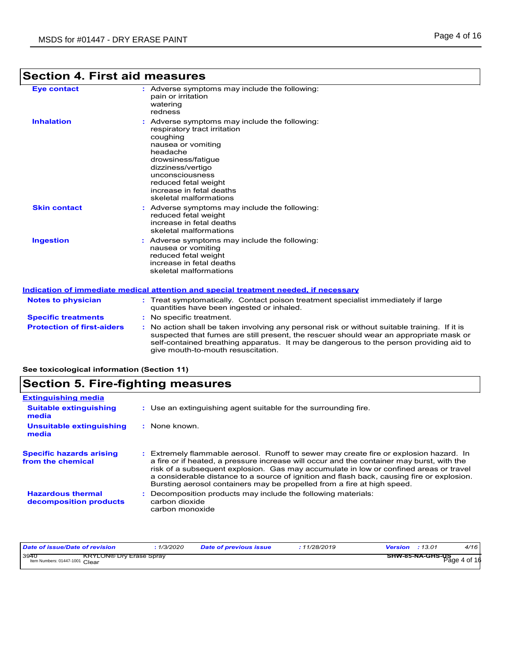### **Section 4. First aid measures**

| ection 4. First aid measures |  |  |
|------------------------------|--|--|
|                              |  |  |

| <b>Eye contact</b>  | : Adverse symptoms may include the following:<br>pain or irritation<br>watering<br>redness                                                                                                                                                                              |
|---------------------|-------------------------------------------------------------------------------------------------------------------------------------------------------------------------------------------------------------------------------------------------------------------------|
| <b>Inhalation</b>   | : Adverse symptoms may include the following:<br>respiratory tract irritation<br>coughing<br>nausea or vomiting<br>headache<br>drowsiness/fatigue<br>dizziness/vertigo<br>unconsciousness<br>reduced fetal weight<br>increase in fetal deaths<br>skeletal malformations |
| <b>Skin contact</b> | : Adverse symptoms may include the following:<br>reduced fetal weight<br>increase in fetal deaths<br>skeletal malformations                                                                                                                                             |
| <b>Ingestion</b>    | : Adverse symptoms may include the following:<br>nausea or vomiting<br>reduced fetal weight<br>increase in fetal deaths<br>skeletal malformations                                                                                                                       |

#### **Protection of first-aiders :** No action shall be taken involving any personal risk or without suitable training. If it is suspected that fumes are still present, the rescuer should wear an appropriate mask or self-contained breathing apparatus. It may be dangerous to the person providing aid to **Notes to physician :** Treat symptomatically. Contact poison treatment specialist immediately if large quantities have been ingested or inhaled. **Specific treatments :** No specific treatment. **Indication of immediate medical attention and special treatment needed, if necessary**

give mouth-to-mouth resuscitation.

**See toxicological information (Section 11)**

### **Section 5. Fire-fighting measures**

| : Use an extinguishing agent suitable for the surrounding fire.                                                                                                                                                                                                                                                                                                                                                                                     |
|-----------------------------------------------------------------------------------------------------------------------------------------------------------------------------------------------------------------------------------------------------------------------------------------------------------------------------------------------------------------------------------------------------------------------------------------------------|
| : None known                                                                                                                                                                                                                                                                                                                                                                                                                                        |
| Extremely flammable aerosol. Runoff to sewer may create fire or explosion hazard. In<br>a fire or if heated, a pressure increase will occur and the container may burst, with the<br>risk of a subsequent explosion. Gas may accumulate in low or confined areas or travel<br>a considerable distance to a source of ignition and flash back, causing fire or explosion.<br>Bursting aerosol containers may be propelled from a fire at high speed. |
| Decomposition products may include the following materials:<br>carbon dioxide<br>carbon monoxide                                                                                                                                                                                                                                                                                                                                                    |
|                                                                                                                                                                                                                                                                                                                                                                                                                                                     |

| Date of issue/Date of revision                                           | : 1/3/2020 | <b>Date of previous issue</b> | : 11/28/2019 | :13.01<br>Version | 4/16         |
|--------------------------------------------------------------------------|------------|-------------------------------|--------------|-------------------|--------------|
| 3940<br><b>KRYLON® Dry Erase Spray</b><br>Item Numbers: 01447-1001 Clear |            |                               |              | SHW-85-NA-GHS-US  | Page 4 of 16 |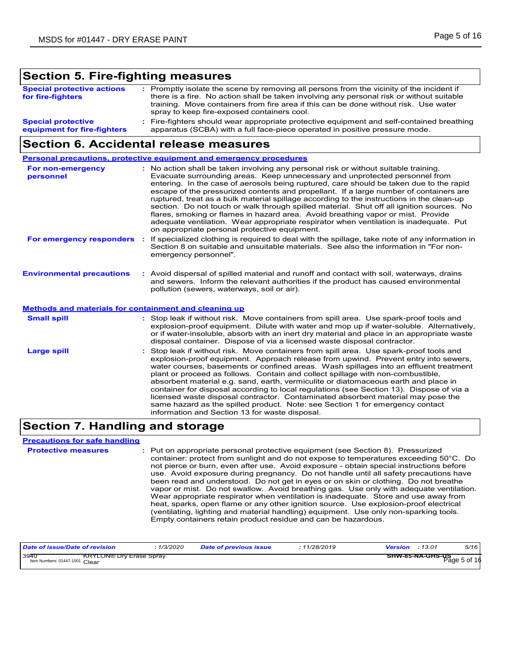### **Section 5. Fire-fighting measures**

| <b>Special protective actions</b><br>for fire-fighters   | : Promptly isolate the scene by removing all persons from the vicinity of the incident if<br>there is a fire. No action shall be taken involving any personal risk or without suitable<br>training. Move containers from fire area if this can be done without risk. Use water<br>spray to keep fire-exposed containers cool. |
|----------------------------------------------------------|-------------------------------------------------------------------------------------------------------------------------------------------------------------------------------------------------------------------------------------------------------------------------------------------------------------------------------|
| <b>Special protective</b><br>equipment for fire-fighters | : Fire-fighters should wear appropriate protective equipment and self-contained breathing<br>apparatus (SCBA) with a full face-piece operated in positive pressure mode.                                                                                                                                                      |

### **Section 6. Accidental release measures**

**Environmental precautions Personal precautions, protective equipment and emergency procedures** : Stop leak if without risk. Move containers from spill area. Use spark-proof tools and explosion-proof equipment. Approach release from upwind. Prevent entry into sewers, water courses, basements or confined areas. Wash spillages into an effluent treatment plant or proceed as follows. Contain and collect spillage with non-combustible, absorbent material e.g. sand, earth, vermiculite or diatomaceous earth and place in container for disposal according to local regulations (see Section 13). Dispose of via a licensed waste disposal contractor. Contaminated absorbent material may pose the same hazard as the spilled product. Note: see Section 1 for emergency contact information and Section 13 for waste disposal. **:** Avoid dispersal of spilled material and runoff and contact with soil, waterways, drains **:** No action shall be taken involving any personal risk or without suitable training. Evacuate surrounding areas. Keep unnecessary and unprotected personnel from entering. In the case of aerosols being ruptured, care should be taken due to the rapid escape of the pressurized contents and propellant. If a large number of containers are ruptured, treat as a bulk material spillage according to the instructions in the clean-up section. Do not touch or walk through spilled material. Shut off all ignition sources. No flares, smoking or flames in hazard area. Avoid breathing vapor or mist. Provide adequate ventilation. Wear appropriate respirator when ventilation is inadequate. Put on appropriate personal protective equipment. and sewers. Inform the relevant authorities if the product has caused environmental pollution (sewers, waterways, soil or air). **Large spill :** : Stop leak if without risk. Move containers from spill area. Use spark-proof tools and explosion-proof equipment. Dilute with water and mop up if water-soluble. Alternatively, or if water-insoluble, absorb with an inert dry material and place in an appropriate waste disposal container. Dispose of via a licensed waste disposal contractor. **Small spill : Methods and materials for containment and cleaning up For non-emergency personnel For emergency responders :** If specialized clothing is required to deal with the spillage, take note of any information in Section 8 on suitable and unsuitable materials. See also the information in "For nonemergency personnel".

### **Section 7. Handling and storage**

**Precautions for safe handling**

**Protective measures** : Put on appropriate personal protective equipment (see Section 8). Pressurized container: protect from sunlight and do not expose to temperatures exceeding 50°C. Do not pierce or burn, even after use. Avoid exposure - obtain special instructions before use. Avoid exposure during pregnancy. Do not handle until all safety precautions have been read and understood. Do not get in eyes or on skin or clothing. Do not breathe vapor or mist. Do not swallow. Avoid breathing gas. Use only with adequate ventilation. Wear appropriate respirator when ventilation is inadequate. Store and use away from heat, sparks, open flame or any other ignition source. Use explosion-proof electrical (ventilating, lighting and material handling) equipment. Use only non-sparking tools. Empty containers retain product residue and can be hazardous.

| Date of issue/Date of revision         |                                | 1/3/2020 | <b>Date of previous issue</b> | 11/28/2019 | Version | :13.01                  | 5/16         |
|----------------------------------------|--------------------------------|----------|-------------------------------|------------|---------|-------------------------|--------------|
| 3940<br>Item Numbers: 01447-1001 Clear | <b>KRYLON® Dry Erase Spray</b> |          |                               |            |         | <b>SHW-85-NA-GHS-US</b> | Page 5 of 16 |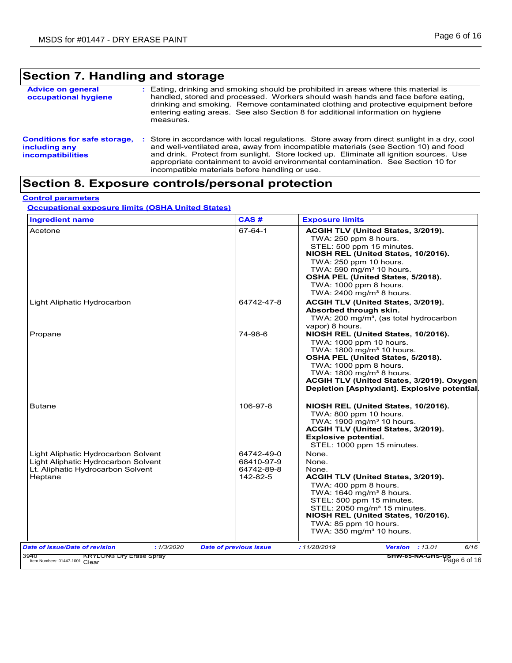## **Section 7. Handling and storage**

| <b>Advice on general</b><br>occupational hygiene                                 |    | : Eating, drinking and smoking should be prohibited in areas where this material is<br>handled, stored and processed. Workers should wash hands and face before eating,<br>drinking and smoking. Remove contaminated clothing and protective equipment before<br>entering eating areas. See also Section 8 for additional information on hygiene<br>measures.                                                      |
|----------------------------------------------------------------------------------|----|--------------------------------------------------------------------------------------------------------------------------------------------------------------------------------------------------------------------------------------------------------------------------------------------------------------------------------------------------------------------------------------------------------------------|
| <b>Conditions for safe storage,</b><br>including any<br><i>incompatibilities</i> | ÷. | Store in accordance with local regulations. Store away from direct sunlight in a dry, cool<br>and well-ventilated area, away from incompatible materials (see Section 10) and food<br>and drink. Protect from sunlight. Store locked up. Eliminate all ignition sources. Use<br>appropriate containment to avoid environmental contamination. See Section 10 for<br>incompatible materials before handling or use. |

### **Section 8. Exposure controls/personal protection**

#### **Control parameters**

### **Occupational exposure limits (OSHA United States)**

| <b>Ingredient name</b>                                                                                                     | CAS#                                               | <b>Exposure limits</b>                                                                                                                                                                                                                                                                                        |
|----------------------------------------------------------------------------------------------------------------------------|----------------------------------------------------|---------------------------------------------------------------------------------------------------------------------------------------------------------------------------------------------------------------------------------------------------------------------------------------------------------------|
| Acetone                                                                                                                    | $67 - 64 - 1$                                      | ACGIH TLV (United States, 3/2019).<br>TWA: 250 ppm 8 hours.<br>STEL: 500 ppm 15 minutes.<br>NIOSH REL (United States, 10/2016).<br>TWA: 250 ppm 10 hours.<br>TWA: 590 mg/m <sup>3</sup> 10 hours.<br>OSHA PEL (United States, 5/2018).<br>TWA: 1000 ppm 8 hours.<br>TWA: $2400 \text{ mg/m}^3$ 8 hours.       |
| Light Aliphatic Hydrocarbon                                                                                                | 64742-47-8                                         | ACGIH TLV (United States, 3/2019).<br>Absorbed through skin.<br>TWA: 200 mg/m <sup>3</sup> , (as total hydrocarbon<br>vapor) 8 hours.                                                                                                                                                                         |
| Propane                                                                                                                    | 74-98-6                                            | NIOSH REL (United States, 10/2016).<br>TWA: 1000 ppm 10 hours.<br>TWA: 1800 mg/m <sup>3</sup> 10 hours.<br>OSHA PEL (United States, 5/2018).<br>TWA: 1000 ppm 8 hours.<br>TWA: $1800 \text{ mg/m}^3$ 8 hours.<br>ACGIH TLV (United States, 3/2019). Oxygen<br>Depletion [Asphyxiant]. Explosive potential.    |
| <b>Butane</b>                                                                                                              | 106-97-8                                           | NIOSH REL (United States, 10/2016).<br>TWA: 800 ppm 10 hours.<br>TWA: 1900 mg/m <sup>3</sup> 10 hours.<br>ACGIH TLV (United States, 3/2019).<br><b>Explosive potential.</b><br>STEL: 1000 ppm 15 minutes.                                                                                                     |
| Light Aliphatic Hydrocarbon Solvent<br>Light Aliphatic Hydrocarbon Solvent<br>Lt. Aliphatic Hydrocarbon Solvent<br>Heptane | 64742-49-0<br>68410-97-9<br>64742-89-8<br>142-82-5 | None.<br>None.<br>None.<br>ACGIH TLV (United States, 3/2019).<br>TWA: 400 ppm 8 hours.<br>TWA: $1640 \text{ mg/m}^3$ 8 hours<br>STEL: 500 ppm 15 minutes.<br>STEL: 2050 mg/m <sup>3</sup> 15 minutes.<br>NIOSH REL (United States, 10/2016).<br>TWA: 85 ppm 10 hours.<br>TWA: 350 mg/m <sup>3</sup> 10 hours. |
| <b>Date of issue/Date of revision</b><br>: 1/3/2020                                                                        | <b>Date of previous issue</b>                      | 6/16<br><b>Version</b> : 13.01<br>: 11/28/2019                                                                                                                                                                                                                                                                |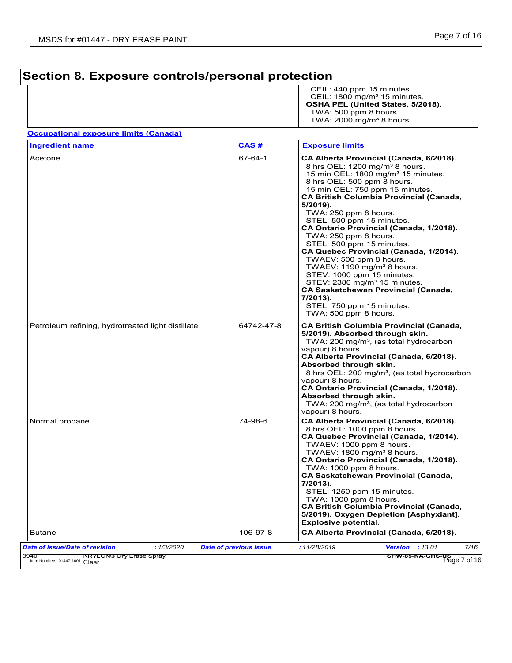## **Section 8. Exposure controls/personal protection**

|  | CEIL: 440 ppm 15 minutes.               |
|--|-----------------------------------------|
|  | CEIL: $1800 \text{ mg/m}^3$ 15 minutes. |
|  | OSHA PEL (United States, 5/2018).       |
|  | TWA: 500 ppm 8 hours.                   |
|  | TWA: $2000 \text{ mg/m}^3$ 8 hours.     |
|  |                                         |

### **Occupational exposure limits (Canada)**

| <b>Ingredient name</b>                            | CAS#                          | <b>Exposure limits</b>                                                                                                                                                                                                                                                                                                                                                                                                                                                                                                                                                                                                                                                                                                                     |
|---------------------------------------------------|-------------------------------|--------------------------------------------------------------------------------------------------------------------------------------------------------------------------------------------------------------------------------------------------------------------------------------------------------------------------------------------------------------------------------------------------------------------------------------------------------------------------------------------------------------------------------------------------------------------------------------------------------------------------------------------------------------------------------------------------------------------------------------------|
| Acetone                                           | 67-64-1                       | CA Alberta Provincial (Canada, 6/2018).<br>8 hrs OEL: 1200 mg/m <sup>3</sup> 8 hours.<br>15 min OEL: 1800 mg/m <sup>3</sup> 15 minutes.<br>8 hrs OEL: 500 ppm 8 hours.<br>15 min OEL: 750 ppm 15 minutes.<br><b>CA British Columbia Provincial (Canada,</b><br>5/2019).<br>TWA: 250 ppm 8 hours.<br>STEL: 500 ppm 15 minutes.<br>CA Ontario Provincial (Canada, 1/2018).<br>TWA: 250 ppm 8 hours.<br>STEL: 500 ppm 15 minutes.<br>CA Quebec Provincial (Canada, 1/2014).<br>TWAEV: 500 ppm 8 hours.<br>TWAEV: 1190 mg/m <sup>3</sup> 8 hours.<br>STEV: 1000 ppm 15 minutes.<br>STEV: 2380 mg/m <sup>3</sup> 15 minutes.<br><b>CA Saskatchewan Provincial (Canada,</b><br>$7/2013$ ).<br>STEL: 750 ppm 15 minutes.<br>TWA: 500 ppm 8 hours. |
| Petroleum refining, hydrotreated light distillate | 64742-47-8                    | <b>CA British Columbia Provincial (Canada,</b><br>5/2019). Absorbed through skin.<br>TWA: 200 mg/m <sup>3</sup> , (as total hydrocarbon<br>vapour) 8 hours.<br>CA Alberta Provincial (Canada, 6/2018).<br>Absorbed through skin.<br>8 hrs OEL: 200 mg/m <sup>3</sup> , (as total hydrocarbon<br>vapour) 8 hours.<br>CA Ontario Provincial (Canada, 1/2018).<br>Absorbed through skin.<br>TWA: 200 mg/m <sup>3</sup> , (as total hydrocarbon<br>vapour) 8 hours.                                                                                                                                                                                                                                                                            |
| Normal propane                                    | 74-98-6                       | CA Alberta Provincial (Canada, 6/2018).<br>8 hrs OEL: 1000 ppm 8 hours.<br>CA Quebec Provincial (Canada, 1/2014).<br>TWAEV: 1000 ppm 8 hours.<br>TWAEV: 1800 mg/m <sup>3</sup> 8 hours.<br>CA Ontario Provincial (Canada, 1/2018).<br>TWA: 1000 ppm 8 hours.<br><b>CA Saskatchewan Provincial (Canada,</b><br>7/2013).<br>STEL: 1250 ppm 15 minutes.<br>TWA: 1000 ppm 8 hours.<br><b>CA British Columbia Provincial (Canada,</b><br>5/2019). Oxygen Depletion [Asphyxiant].<br><b>Explosive potential.</b>                                                                                                                                                                                                                                 |
| <b>Butane</b>                                     | 106-97-8                      | CA Alberta Provincial (Canada, 6/2018).                                                                                                                                                                                                                                                                                                                                                                                                                                                                                                                                                                                                                                                                                                    |
| Date of issue/Date of revision<br>: 1/3/2020      | <b>Date of previous issue</b> | 7/16<br>: 11/28/2019<br><b>Version</b> : 13.01                                                                                                                                                                                                                                                                                                                                                                                                                                                                                                                                                                                                                                                                                             |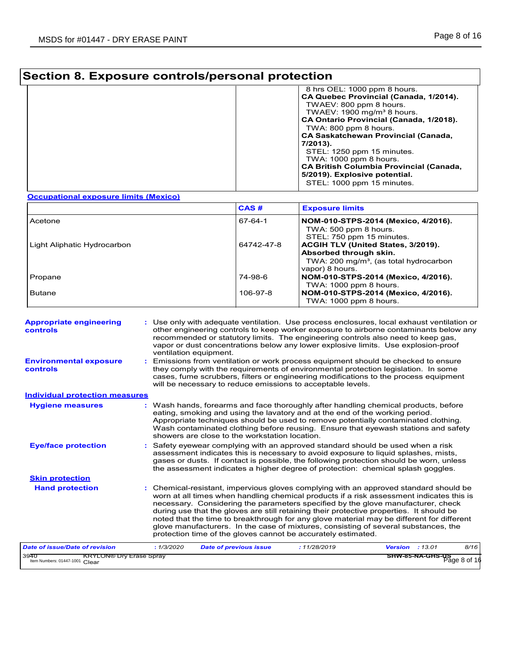## **Section 8. Exposure controls/personal protection**

| 8 hrs OEL: 1000 ppm 8 hours.<br>CA Quebec Provincial (Canada, 1/2014).<br>TWAEV: 800 ppm 8 hours.<br>TWAEV: 1900 mg/m <sup>3</sup> 8 hours.<br>CA Ontario Provincial (Canada, 1/2018).<br>TWA: 800 ppm 8 hours.<br><b>CA Saskatchewan Provincial (Canada,</b><br>7/2013).<br>STEL: 1250 ppm 15 minutes.<br>TWA: 1000 ppm 8 hours.<br><b>CA British Columbia Provincial (Canada,</b><br>5/2019). Explosive potential. |
|----------------------------------------------------------------------------------------------------------------------------------------------------------------------------------------------------------------------------------------------------------------------------------------------------------------------------------------------------------------------------------------------------------------------|
| STEL: 1000 ppm 15 minutes.                                                                                                                                                                                                                                                                                                                                                                                           |

#### **Occupational exposure limits (Mexico)**

|                             | CAS#       | <b>Exposure limits</b>                                                                                                                |
|-----------------------------|------------|---------------------------------------------------------------------------------------------------------------------------------------|
| Acetone                     | 67-64-1    | NOM-010-STPS-2014 (Mexico, 4/2016).<br>TWA: 500 ppm 8 hours.<br>STEL: 750 ppm 15 minutes.                                             |
| Light Aliphatic Hydrocarbon | 64742-47-8 | ACGIH TLV (United States, 3/2019).<br>Absorbed through skin.<br>TWA: 200 mg/m <sup>3</sup> , (as total hydrocarbon<br>vapor) 8 hours. |
| Propane                     | 74-98-6    | NOM-010-STPS-2014 (Mexico, 4/2016).<br>TWA: $1000$ ppm 8 hours.                                                                       |
| <b>Butane</b>               | 106-97-8   | NOM-010-STPS-2014 (Mexico, 4/2016).<br>TWA: $1000$ ppm 8 hours.                                                                       |

| <b>Appropriate engineering</b><br>controls<br><b>Environmental exposure</b> |            | ventilation equipment. |                                                | : Use only with adequate ventilation. Use process enclosures, local exhaust ventilation or<br>other engineering controls to keep worker exposure to airborne contaminants below any<br>recommended or statutory limits. The engineering controls also need to keep gas,<br>vapor or dust concentrations below any lower explosive limits. Use explosion-proof                                                                                                                                                                                                                                                          |  |                                  |      |
|-----------------------------------------------------------------------------|------------|------------------------|------------------------------------------------|------------------------------------------------------------------------------------------------------------------------------------------------------------------------------------------------------------------------------------------------------------------------------------------------------------------------------------------------------------------------------------------------------------------------------------------------------------------------------------------------------------------------------------------------------------------------------------------------------------------------|--|----------------------------------|------|
| controls                                                                    |            |                        |                                                | : Emissions from ventilation or work process equipment should be checked to ensure<br>they comply with the requirements of environmental protection legislation. In some<br>cases, fume scrubbers, filters or engineering modifications to the process equipment<br>will be necessary to reduce emissions to acceptable levels.                                                                                                                                                                                                                                                                                        |  |                                  |      |
| <b>Individual protection measures</b>                                       |            |                        |                                                |                                                                                                                                                                                                                                                                                                                                                                                                                                                                                                                                                                                                                        |  |                                  |      |
| <b>Hygiene measures</b>                                                     |            |                        | showers are close to the workstation location. | : Wash hands, forearms and face thoroughly after handling chemical products, before<br>eating, smoking and using the lavatory and at the end of the working period.<br>Appropriate techniques should be used to remove potentially contaminated clothing.<br>Wash contaminated clothing before reusing. Ensure that eyewash stations and safety                                                                                                                                                                                                                                                                        |  |                                  |      |
| <b>Eye/face protection</b>                                                  |            |                        |                                                | : Safety eyewear complying with an approved standard should be used when a risk<br>assessment indicates this is necessary to avoid exposure to liquid splashes, mists,<br>gases or dusts. If contact is possible, the following protection should be worn, unless<br>the assessment indicates a higher degree of protection: chemical splash goggles.                                                                                                                                                                                                                                                                  |  |                                  |      |
| <b>Skin protection</b>                                                      |            |                        |                                                |                                                                                                                                                                                                                                                                                                                                                                                                                                                                                                                                                                                                                        |  |                                  |      |
| <b>Hand protection</b>                                                      |            |                        |                                                | : Chemical-resistant, impervious gloves complying with an approved standard should be<br>worn at all times when handling chemical products if a risk assessment indicates this is<br>necessary. Considering the parameters specified by the glove manufacturer, check<br>during use that the gloves are still retaining their protective properties. It should be<br>noted that the time to breakthrough for any glove material may be different for different<br>glove manufacturers. In the case of mixtures, consisting of several substances, the<br>protection time of the gloves cannot be accurately estimated. |  |                                  |      |
| <b>Date of issue/Date of revision</b>                                       | : 1/3/2020 |                        | <b>Date of previous issue</b>                  | : 11/28/2019                                                                                                                                                                                                                                                                                                                                                                                                                                                                                                                                                                                                           |  | <b>Version</b> : 13.01           | 8/16 |
| 3940<br><b>KRYLON® Dry Erase Spray</b><br>Item Numbers: 01447-1001 Clear    |            |                        |                                                |                                                                                                                                                                                                                                                                                                                                                                                                                                                                                                                                                                                                                        |  | SHW-85-NA-GHS-US<br>Page 8 of 16 |      |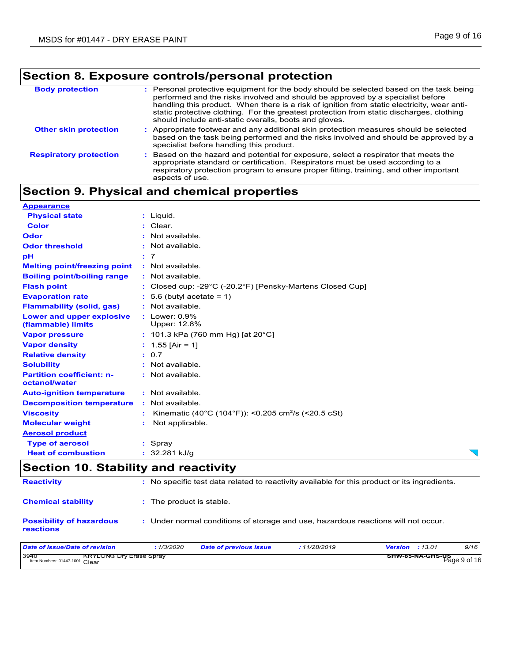## **Section 8. Exposure controls/personal protection**

| <b>Body protection</b>        | : Personal protective equipment for the body should be selected based on the task being<br>performed and the risks involved and should be approved by a specialist before<br>handling this product. When there is a risk of ignition from static electricity, wear anti-<br>static protective clothing. For the greatest protection from static discharges, clothing<br>should include anti-static overalls, boots and gloves. |
|-------------------------------|--------------------------------------------------------------------------------------------------------------------------------------------------------------------------------------------------------------------------------------------------------------------------------------------------------------------------------------------------------------------------------------------------------------------------------|
| <b>Other skin protection</b>  | Appropriate footwear and any additional skin protection measures should be selected<br>based on the task being performed and the risks involved and should be approved by a<br>specialist before handling this product.                                                                                                                                                                                                        |
| <b>Respiratory protection</b> | Based on the hazard and potential for exposure, select a respirator that meets the<br>appropriate standard or certification. Respirators must be used according to a<br>respiratory protection program to ensure proper fitting, training, and other important<br>aspects of use.                                                                                                                                              |

## **Section 9. Physical and chemical properties**

| <b>Appearance</b>                                   |                                                                                              |
|-----------------------------------------------------|----------------------------------------------------------------------------------------------|
| <b>Physical state</b>                               | : Liquid.                                                                                    |
| <b>Color</b>                                        | : Clear.                                                                                     |
| Odor                                                | : Not available.                                                                             |
| <b>Odor threshold</b>                               | : Not available.                                                                             |
| pH                                                  | : 7                                                                                          |
| <b>Melting point/freezing point</b>                 | : Not available.                                                                             |
| <b>Boiling point/boiling range</b>                  | : Not available.                                                                             |
| <b>Flash point</b>                                  | : Closed cup: -29 $^{\circ}$ C (-20.2 $^{\circ}$ F) [Pensky-Martens Closed Cup]              |
| <b>Evaporation rate</b>                             | $: 5.6$ (butyl acetate = 1)                                                                  |
| <b>Flammability (solid, gas)</b>                    | : Not available.                                                                             |
| Lower and upper explosive<br>(flammable) limits     | : Lower: 0.9%<br>Upper: 12.8%                                                                |
| <b>Vapor pressure</b>                               | : 101.3 kPa (760 mm Hg) [at 20 $^{\circ}$ C]                                                 |
| <b>Vapor density</b>                                | : $1.55$ [Air = 1]                                                                           |
| <b>Relative density</b>                             | : 0.7                                                                                        |
| <b>Solubility</b>                                   | $:$ Not available.                                                                           |
| <b>Partition coefficient: n-</b><br>octanol/water   | : Not available.                                                                             |
| <b>Auto-ignition temperature</b>                    | : Not available.                                                                             |
| <b>Decomposition temperature</b>                    | : Not available.                                                                             |
| <b>Viscosity</b>                                    | Kinematic (40°C (104°F)): <0.205 cm <sup>2</sup> /s (<20.5 cSt)                              |
| <b>Molecular weight</b>                             | Not applicable.                                                                              |
| <b>Aerosol product</b>                              |                                                                                              |
| <b>Type of aerosol</b>                              | : Spray                                                                                      |
| <b>Heat of combustion</b>                           | : 32.281 kJ/q                                                                                |
| <b>Section 10. Stability and reactivity</b>         |                                                                                              |
| <b>Reactivity</b>                                   | : No specific test data related to reactivity available for this product or its ingredients. |
| <b>Chemical stability</b>                           | : The product is stable.                                                                     |
| <b>Possibility of hazardous</b><br><b>reactions</b> | : Under normal conditions of storage and use, hazardous reactions will not occur.            |

| Date of issue/Date of revision                                           | 1/3/2020 | <b>Date of previous issue</b> | : 11/28/2019 | <b>Version</b> : 13.01 | 9/16         |
|--------------------------------------------------------------------------|----------|-------------------------------|--------------|------------------------|--------------|
| 3940<br><b>KRYLON® Dry Erase Spray</b><br>Item Numbers: 01447-1001 Clear |          |                               |              | SHW-85-NA-GHS-US       | Page 9 of 16 |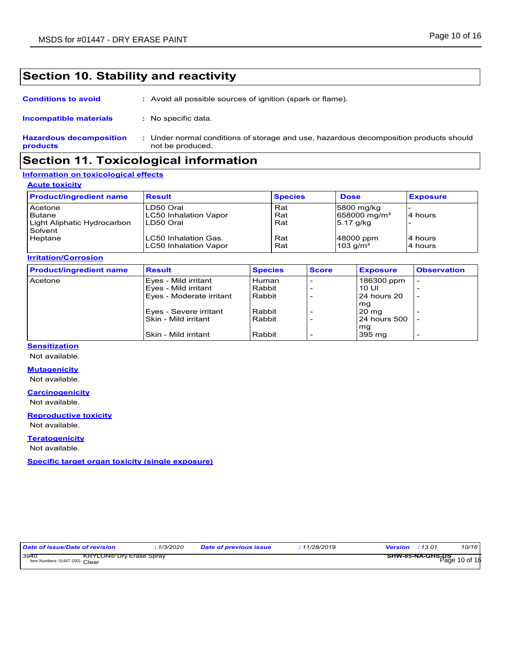### **Section 10. Stability and reactivity**

| <b>Conditions to avoid</b> | : Avoid all possible sources of ignition (spark or flame). |
|----------------------------|------------------------------------------------------------|
|                            |                                                            |

| Incompatible materials         | No specific data.                                                                   |
|--------------------------------|-------------------------------------------------------------------------------------|
| <b>Hazardous decomposition</b> | Under normal conditions of storage and use, hazardous decomposition products should |
| products                       | not be produced.                                                                    |

### **Section 11. Toxicological information**

#### **Information on toxicological effects**

#### **Acute toxicity**

| <b>Product/ingredient name</b> | <b>Result</b>         | <b>Species</b> | <b>Dose</b>                | <b>Exposure</b> |
|--------------------------------|-----------------------|----------------|----------------------------|-----------------|
| Acetone                        | LD50 Oral             | Rat            | 5800 mg/kg                 |                 |
| <b>Butane</b>                  | LC50 Inhalation Vapor | Rat            | $658000 \,\mathrm{mg/m^3}$ | 4 hours         |
| Light Aliphatic Hydrocarbon    | LD50 Oral             | Rat            | 5.17 g/kg                  |                 |
| Solvent                        |                       |                |                            |                 |
| Heptane                        | ILC50 Inhalation Gas. | Rat            | 48000 ppm                  | 4 hours         |
|                                | LC50 Inhalation Vapor | Rat            | $103$ g/m <sup>3</sup>     | 4 hours         |

**Irritation/Corrosion**

| <b>Product/ingredient name</b> | <b>Result</b>            | <b>Species</b> | <b>Score</b> | <b>Exposure</b> | <b>Observation</b>       |
|--------------------------------|--------------------------|----------------|--------------|-----------------|--------------------------|
| Acetone                        | Eyes - Mild irritant     | Human          |              | 186300 ppm      |                          |
|                                | Eyes - Mild irritant     | Rabbit         |              | 10 UI           |                          |
|                                | Eyes - Moderate irritant | Rabbit         |              | 24 hours 20     | $\overline{\phantom{0}}$ |
|                                |                          |                |              | mg              |                          |
|                                | Eyes - Severe irritant   | Rabbit         |              | 20 mg           |                          |
|                                | Skin - Mild irritant     | Rabbit         |              | 24 hours 500    |                          |
|                                |                          |                |              | mg              |                          |
|                                | Skin - Mild irritant     | Rabbit         |              | 395 mg          | $\overline{\phantom{0}}$ |

### **Sensitization**

Not available.

#### **Mutagenicity**

Not available.

#### **Carcinogenicity**

Not available.

#### **Reproductive toxicity** Not available.

**Teratogenicity**

Not available.

**Specific target organ toxicity (single exposure)**

| Date of issue/Date of revision         |                                | 1/3/2020 | <b>Date of previous issue</b> | :11/28/2019 | <b>Version</b> : 13.01 |                                          | 10/16 |
|----------------------------------------|--------------------------------|----------|-------------------------------|-------------|------------------------|------------------------------------------|-------|
| 3940<br>Item Numbers: 01447-1001 Clear | <b>KRYLON® Dry Erase Spray</b> |          |                               |             |                        | <b>SHW-85-NA-GHS-US</b><br>Page 10 of 16 |       |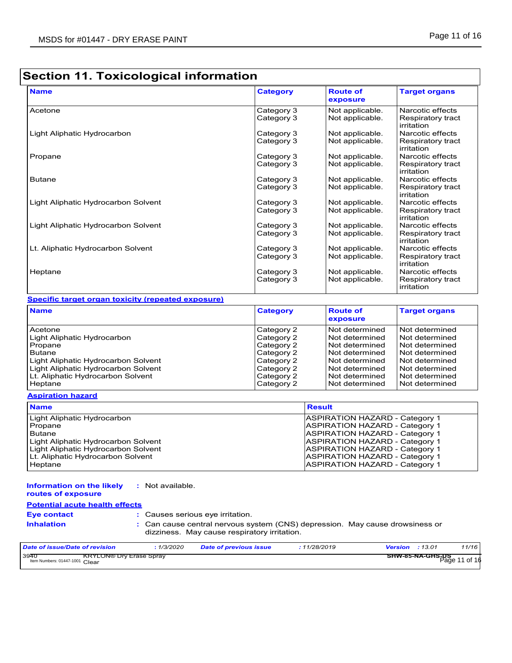## **Section 11. Toxicological information**

| <b>Name</b>                         | Category                 | <b>Route of</b><br>exposure        | <b>Target organs</b>                  |
|-------------------------------------|--------------------------|------------------------------------|---------------------------------------|
| Acetone                             | Category 3<br>Category 3 | Not applicable.<br>Not applicable. | Narcotic effects<br>Respiratory tract |
|                                     |                          |                                    | irritation                            |
| Light Aliphatic Hydrocarbon         | Category 3               | Not applicable.                    | Narcotic effects                      |
|                                     | Category 3               | Not applicable.                    | Respiratory tract<br>irritation       |
| Propane                             | Category 3               | Not applicable.                    | Narcotic effects                      |
|                                     | Category 3               | Not applicable.                    | Respiratory tract<br>irritation       |
| <b>Butane</b>                       | Category 3               | Not applicable.                    | Narcotic effects                      |
|                                     | Category 3               | Not applicable.                    | Respiratory tract<br>irritation       |
| Light Aliphatic Hydrocarbon Solvent | Category 3               | Not applicable.                    | Narcotic effects                      |
|                                     | Category 3               | Not applicable.                    | Respiratory tract<br>irritation       |
| Light Aliphatic Hydrocarbon Solvent | Category 3               | Not applicable.                    | Narcotic effects                      |
|                                     | Category 3               | Not applicable.                    | Respiratory tract<br>irritation       |
| Lt. Aliphatic Hydrocarbon Solvent   | Category 3               | Not applicable.                    | Narcotic effects                      |
|                                     | Category 3               | Not applicable.                    | Respiratory tract<br>irritation       |
| Heptane                             | Category 3               | Not applicable.                    | Narcotic effects                      |
|                                     | Category 3               | Not applicable.                    | Respiratory tract<br>irritation       |

### **Specific target organ toxicity (repeated exposure)**

| <b>Name</b>                         | <b>Category</b> | <b>Route of</b><br>exposure | <b>Target organs</b> |
|-------------------------------------|-----------------|-----------------------------|----------------------|
| Acetone                             | Category 2      | Not determined              | Not determined       |
| Light Aliphatic Hydrocarbon         | Category 2      | Not determined              | Not determined       |
| Propane                             | Category 2      | Not determined              | Not determined       |
| <b>Butane</b>                       | Category 2      | Not determined              | Not determined       |
| Light Aliphatic Hydrocarbon Solvent | Category 2      | Not determined              | Not determined       |
| Light Aliphatic Hydrocarbon Solvent | Category 2      | Not determined              | Not determined       |
| Lt. Aliphatic Hydrocarbon Solvent   | Category 2      | Not determined              | Not determined       |
| Heptane                             | Category 2      | Not determined              | Not determined       |

#### **Aspiration hazard**

| <b>Name</b>                         | <b>Result</b>                         |
|-------------------------------------|---------------------------------------|
| Light Aliphatic Hydrocarbon         | <b>ASPIRATION HAZARD - Category 1</b> |
| Propane                             | <b>ASPIRATION HAZARD - Category 1</b> |
| Butane                              | <b>ASPIRATION HAZARD - Category 1</b> |
| Light Aliphatic Hydrocarbon Solvent | <b>ASPIRATION HAZARD - Category 1</b> |
| Light Aliphatic Hydrocarbon Solvent | <b>ASPIRATION HAZARD - Category 1</b> |
| Lt. Aliphatic Hydrocarbon Solvent   | <b>ASPIRATION HAZARD - Category 1</b> |
| Heptane                             | <b>ASPIRATION HAZARD - Category 1</b> |

#### **Information on the likely routes of exposure :** Not available.

### **Potential acute health effects**

| <b>Eye contact</b> |
|--------------------|
| وممثلهما وماميل    |

**:** Causes serious eye irritation.

**Inhalation :** Can cause central nervous system (CNS) depression. May cause drowsiness or dizziness. May cause respiratory irritation.

| Date of issue/Date of revision         |                                | 1/3/2020 | <b>Date of previous issue</b> | .11/28/2019 | Version | :13.01                   | 11/16    |
|----------------------------------------|--------------------------------|----------|-------------------------------|-------------|---------|--------------------------|----------|
| 3940<br>Item Numbers: 01447-1001 Clear | <b>KRYLON® Dry Erase Spray</b> |          |                               |             |         | SHW-85-NA-GHS-US<br>Page | 11 of 16 |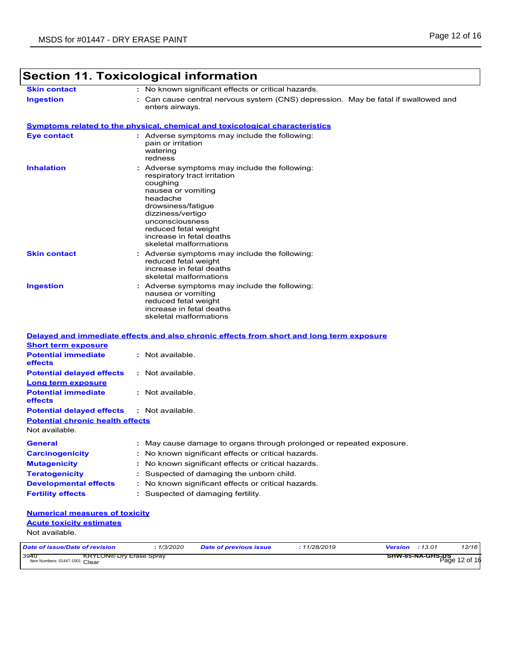| <b>Skin contact</b>                                                                                                                                                                                                                                                                            | : No known significant effects or critical hazards.                                                                                                                                                                                                                     |
|------------------------------------------------------------------------------------------------------------------------------------------------------------------------------------------------------------------------------------------------------------------------------------------------|-------------------------------------------------------------------------------------------------------------------------------------------------------------------------------------------------------------------------------------------------------------------------|
| <b>Ingestion</b>                                                                                                                                                                                                                                                                               | : Can cause central nervous system (CNS) depression. May be fatal if swallowed and                                                                                                                                                                                      |
|                                                                                                                                                                                                                                                                                                | enters airways.                                                                                                                                                                                                                                                         |
|                                                                                                                                                                                                                                                                                                | <u>Symptoms related to the physical, chemical and toxicological characteristics</u>                                                                                                                                                                                     |
| <b>Eye contact</b>                                                                                                                                                                                                                                                                             | : Adverse symptoms may include the following:<br>pain or irritation<br>watering<br>redness                                                                                                                                                                              |
| <b>Inhalation</b>                                                                                                                                                                                                                                                                              | : Adverse symptoms may include the following:<br>respiratory tract irritation<br>coughing<br>nausea or vomiting<br>headache<br>drowsiness/fatigue<br>dizziness/vertigo<br>unconsciousness<br>reduced fetal weight<br>increase in fetal deaths<br>skeletal malformations |
| <b>Skin contact</b>                                                                                                                                                                                                                                                                            | Adverse symptoms may include the following:<br>reduced fetal weight<br>increase in fetal deaths<br>skeletal malformations                                                                                                                                               |
| <b>Ingestion</b>                                                                                                                                                                                                                                                                               | Adverse symptoms may include the following:<br>nausea or vomiting<br>reduced fetal weight<br>increase in fetal deaths<br>skeletal malformations                                                                                                                         |
|                                                                                                                                                                                                                                                                                                | Delayed and immediate effects and also chronic effects from short and long term exposure                                                                                                                                                                                |
| <b>Short term exposure</b>                                                                                                                                                                                                                                                                     |                                                                                                                                                                                                                                                                         |
| <b>Potential immediate</b><br>effects                                                                                                                                                                                                                                                          | : Not available.                                                                                                                                                                                                                                                        |
| <b>Potential delayed effects</b>                                                                                                                                                                                                                                                               | : Not available.                                                                                                                                                                                                                                                        |
| <b>Long term exposure</b>                                                                                                                                                                                                                                                                      |                                                                                                                                                                                                                                                                         |
|                                                                                                                                                                                                                                                                                                | : Not available.                                                                                                                                                                                                                                                        |
|                                                                                                                                                                                                                                                                                                |                                                                                                                                                                                                                                                                         |
|                                                                                                                                                                                                                                                                                                | : Not available.                                                                                                                                                                                                                                                        |
|                                                                                                                                                                                                                                                                                                |                                                                                                                                                                                                                                                                         |
|                                                                                                                                                                                                                                                                                                |                                                                                                                                                                                                                                                                         |
|                                                                                                                                                                                                                                                                                                |                                                                                                                                                                                                                                                                         |
|                                                                                                                                                                                                                                                                                                | : May cause damage to organs through prolonged or repeated exposure.<br>: No known significant effects or critical hazards.                                                                                                                                             |
|                                                                                                                                                                                                                                                                                                | No known significant effects or critical hazards.                                                                                                                                                                                                                       |
|                                                                                                                                                                                                                                                                                                | Suspected of damaging the unborn child.                                                                                                                                                                                                                                 |
|                                                                                                                                                                                                                                                                                                | : No known significant effects or critical hazards.                                                                                                                                                                                                                     |
| <b>Potential immediate</b><br>effects<br><b>Potential delayed effects</b><br><b>Potential chronic health effects</b><br>Not available.<br><b>General</b><br><b>Carcinogenicity</b><br><b>Mutagenicity</b><br><b>Teratogenicity</b><br><b>Developmental effects</b><br><b>Fertility effects</b> | : Suspected of damaging fertility.                                                                                                                                                                                                                                      |
| <b>Numerical measures of toxicity</b>                                                                                                                                                                                                                                                          |                                                                                                                                                                                                                                                                         |
| <b>Acute toxicity estimates</b>                                                                                                                                                                                                                                                                |                                                                                                                                                                                                                                                                         |
| Not available.                                                                                                                                                                                                                                                                                 |                                                                                                                                                                                                                                                                         |

٦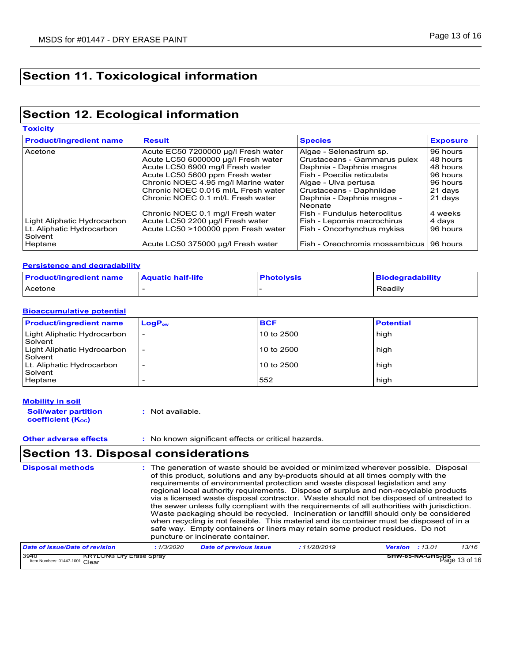## **Section 11. Toxicological information**

## **Section 12. Ecological information**

**Toxicity**

| <b>Product/ingredient name</b>       | <b>Result</b>                       | <b>Species</b>                           | <b>Exposure</b> |
|--------------------------------------|-------------------------------------|------------------------------------------|-----------------|
| Acetone                              | Acute EC50 7200000 µg/l Fresh water | Algae - Selenastrum sp.                  | 96 hours        |
|                                      | Acute LC50 6000000 µg/l Fresh water | Crustaceans - Gammarus pulex             | 48 hours        |
|                                      | Acute LC50 6900 mg/l Fresh water    | Daphnia - Daphnia magna                  | 48 hours        |
|                                      | Acute LC50 5600 ppm Fresh water     | Fish - Poecilia reticulata               | 96 hours        |
|                                      | Chronic NOEC 4.95 mg/l Marine water | Algae - Ulva pertusa                     | 96 hours        |
|                                      | Chronic NOEC 0.016 ml/L Fresh water | Crustaceans - Daphniidae                 | 21 days         |
|                                      | Chronic NOEC 0.1 ml/L Fresh water   | Daphnia - Daphnia magna -<br>Neonate     | 21 days         |
|                                      | Chronic NOEC 0.1 mg/l Fresh water   | Fish - Fundulus heteroclitus             | 4 weeks         |
| Light Aliphatic Hydrocarbon          | Acute LC50 2200 µg/l Fresh water    | Fish - Lepomis macrochirus               | 4 days          |
| Lt. Aliphatic Hydrocarbon<br>Solvent | Acute LC50 >100000 ppm Fresh water  | Fish - Oncorhynchus mykiss               | 96 hours        |
| Heptane                              | Acute LC50 375000 µg/l Fresh water  | Fish - Oreochromis mossambicus 196 hours |                 |

#### **Persistence and degradability**

| <b>Product/ingredient name</b> | <b>Aquatic half-life</b> | <b>Photolysis</b> | <b>Biodegradability</b> |
|--------------------------------|--------------------------|-------------------|-------------------------|
| i Acetone                      |                          |                   | Readily                 |

#### **Bioaccumulative potential**

| <b>Product/ingredient name</b> | $LogP_{ow}$ | <b>BCF</b> | <b>Potential</b> |
|--------------------------------|-------------|------------|------------------|
| Light Aliphatic Hydrocarbon    |             | 10 to 2500 | high             |
| Solvent                        |             |            |                  |
| Light Aliphatic Hydrocarbon    |             | 10 to 2500 | high             |
| Solvent                        |             |            |                  |
| Lt. Aliphatic Hydrocarbon      |             | 10 to 2500 | high             |
| Solvent                        |             |            |                  |
| Heptane                        |             | 552        | high             |

### **Mobility in soil**

**Other adverse effects** : No known significant effects or critical hazards.

### **Section 13. Disposal considerations**

| <b>Disposal methods</b>                                                  |            | : The generation of waste should be avoided or minimized wherever possible. Disposal<br>of this product, solutions and any by-products should at all times comply with the<br>requirements of environmental protection and waste disposal legislation and any<br>regional local authority requirements. Dispose of surplus and non-recyclable products<br>via a licensed waste disposal contractor. Waste should not be disposed of untreated to<br>the sewer unless fully compliant with the requirements of all authorities with jurisdiction.<br>Waste packaging should be recycled. Incineration or landfill should only be considered<br>when recycling is not feasible. This material and its container must be disposed of in a<br>safe way. Empty containers or liners may retain some product residues. Do not<br>puncture or incinerate container. |             |                                   |       |
|--------------------------------------------------------------------------|------------|--------------------------------------------------------------------------------------------------------------------------------------------------------------------------------------------------------------------------------------------------------------------------------------------------------------------------------------------------------------------------------------------------------------------------------------------------------------------------------------------------------------------------------------------------------------------------------------------------------------------------------------------------------------------------------------------------------------------------------------------------------------------------------------------------------------------------------------------------------------|-------------|-----------------------------------|-------|
| Date of issue/Date of revision                                           | : 1/3/2020 | <b>Date of previous issue</b>                                                                                                                                                                                                                                                                                                                                                                                                                                                                                                                                                                                                                                                                                                                                                                                                                                | :11/28/2019 | <b>Version</b> : 13.01            | 13/16 |
| 3940<br><b>KRYLON® Dry Erase Spray</b><br>Item Numbers: 01447-1001 Clear |            |                                                                                                                                                                                                                                                                                                                                                                                                                                                                                                                                                                                                                                                                                                                                                                                                                                                              |             | SHW-85-NA-GHS-US<br>Page 13 of 16 |       |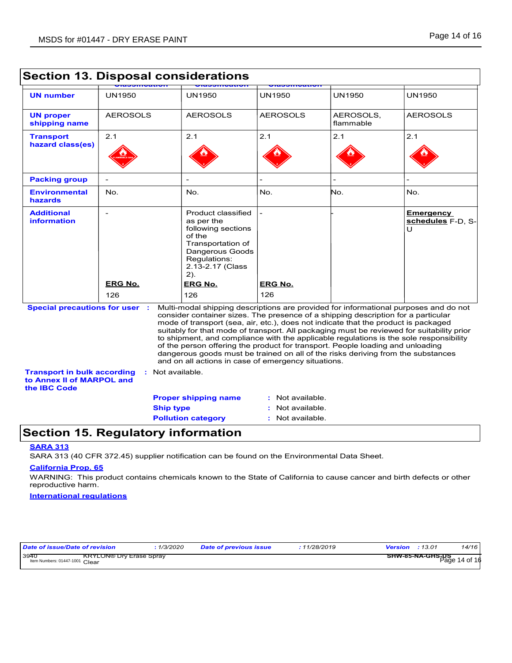|                                                                             |                                            | Secuon 13. Disposai considerations                                                                                                                                                                                                                                                                                                                                                                                                                                                                                                                                                                                                                                                                    |                  |                        |                                            |
|-----------------------------------------------------------------------------|--------------------------------------------|-------------------------------------------------------------------------------------------------------------------------------------------------------------------------------------------------------------------------------------------------------------------------------------------------------------------------------------------------------------------------------------------------------------------------------------------------------------------------------------------------------------------------------------------------------------------------------------------------------------------------------------------------------------------------------------------------------|------------------|------------------------|--------------------------------------------|
| <b>UN number</b>                                                            | <b>UN1950</b>                              | <b>UN1950</b>                                                                                                                                                                                                                                                                                                                                                                                                                                                                                                                                                                                                                                                                                         | UN1950           | <b>UN1950</b>          | <b>UN1950</b>                              |
| <b>UN proper</b><br>shipping name                                           | <b>AEROSOLS</b>                            | <b>AEROSOLS</b>                                                                                                                                                                                                                                                                                                                                                                                                                                                                                                                                                                                                                                                                                       | <b>AEROSOLS</b>  | AEROSOLS,<br>flammable | <b>AEROSOLS</b>                            |
| <b>Transport</b><br>hazard class(es)                                        | 2.1                                        | 2.1                                                                                                                                                                                                                                                                                                                                                                                                                                                                                                                                                                                                                                                                                                   | 2.1              | 2.1                    | 2.1                                        |
|                                                                             |                                            |                                                                                                                                                                                                                                                                                                                                                                                                                                                                                                                                                                                                                                                                                                       |                  |                        |                                            |
| <b>Packing group</b>                                                        |                                            |                                                                                                                                                                                                                                                                                                                                                                                                                                                                                                                                                                                                                                                                                                       |                  |                        |                                            |
| <b>Environmental</b><br>hazards                                             | No.                                        | No.                                                                                                                                                                                                                                                                                                                                                                                                                                                                                                                                                                                                                                                                                                   | No.              | No.                    | No.                                        |
| <b>Additional</b><br><b>information</b>                                     | $\overline{\phantom{a}}$<br><b>ERG No.</b> | Product classified<br>as per the<br>following sections<br>of the<br>Transportation of<br>Dangerous Goods<br>Requlations:<br>2.13-2.17 (Class<br>$2)$ .<br><b>ERG No.</b>                                                                                                                                                                                                                                                                                                                                                                                                                                                                                                                              | ERG No.          |                        | <b>Emergency</b><br>schedules F-D, S-<br>Ū |
|                                                                             | 126                                        | 126                                                                                                                                                                                                                                                                                                                                                                                                                                                                                                                                                                                                                                                                                                   | 126              |                        |                                            |
| <b>Special precautions for user :</b><br><b>Transport in bulk according</b> |                                            | Multi-modal shipping descriptions are provided for informational purposes and do not<br>consider container sizes. The presence of a shipping description for a particular<br>mode of transport (sea, air, etc.), does not indicate that the product is packaged<br>suitably for that mode of transport. All packaging must be reviewed for suitability prior<br>to shipment, and compliance with the applicable regulations is the sole responsibility<br>of the person offering the product for transport. People loading and unloading<br>dangerous goods must be trained on all of the risks deriving from the substances<br>and on all actions in case of emergency situations.<br>Not available. |                  |                        |                                            |
| to Annex II of MARPOL and<br>the IBC Code                                   |                                            |                                                                                                                                                                                                                                                                                                                                                                                                                                                                                                                                                                                                                                                                                                       |                  |                        |                                            |
|                                                                             |                                            | <b>Proper shipping name</b>                                                                                                                                                                                                                                                                                                                                                                                                                                                                                                                                                                                                                                                                           | Not available.   |                        |                                            |
|                                                                             | <b>Ship type</b>                           |                                                                                                                                                                                                                                                                                                                                                                                                                                                                                                                                                                                                                                                                                                       | Not available.   |                        |                                            |
|                                                                             |                                            | <b>Pollution category</b>                                                                                                                                                                                                                                                                                                                                                                                                                                                                                                                                                                                                                                                                             | : Not available. |                        |                                            |

### **Section 13. Disposal considerations**

### **Section 15. Regulatory information**

### **SARA 313**

SARA 313 (40 CFR 372.45) supplier notification can be found on the Environmental Data Sheet.

#### **California Prop. 65**

WARNING: This product contains chemicals known to the State of California to cause cancer and birth defects or other reproductive harm.

#### **International regulations**

| Date of issue/Date of revision         |                                | 1/3/2020 | <b>Date of previous issue</b> | : 11/28/2019 | <b>Version</b> : 13.01 |                  | 14/16                  |
|----------------------------------------|--------------------------------|----------|-------------------------------|--------------|------------------------|------------------|------------------------|
| 3940<br>Item Numbers: 01447-1001 Clear | <b>KRYLON® Dry Erase Spray</b> |          |                               |              |                        | SHW-85-NA-GHS-US | $P\bar{a}$ ge 14 of 16 |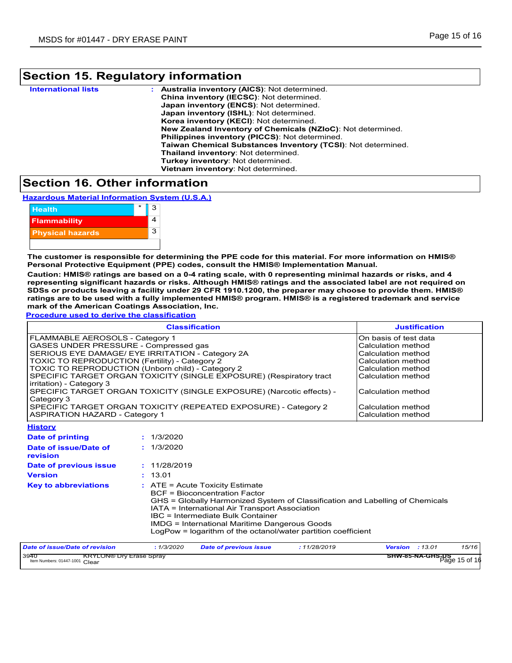## **Section 15. Regulatory information**

| <b>International lists</b> | Australia inventory (AICS): Not determined.                  |
|----------------------------|--------------------------------------------------------------|
|                            | China inventory (IECSC): Not determined.                     |
|                            | Japan inventory (ENCS): Not determined.                      |
|                            | Japan inventory (ISHL): Not determined.                      |
|                            | Korea inventory (KECI): Not determined.                      |
|                            | New Zealand Inventory of Chemicals (NZIoC): Not determined.  |
|                            | <b>Philippines inventory (PICCS): Not determined.</b>        |
|                            | Taiwan Chemical Substances Inventory (TCSI): Not determined. |
|                            | Thailand inventory: Not determined.                          |
|                            | Turkey inventory: Not determined.                            |
|                            | Vietnam inventory: Not determined.                           |
|                            |                                                              |

### **Section 16. Other information**

**Hazardous Material Information System (U.S.A.)**



**The customer is responsible for determining the PPE code for this material. For more information on HMIS® Personal Protective Equipment (PPE) codes, consult the HMIS® Implementation Manual.**

**Caution: HMIS® ratings are based on a 0-4 rating scale, with 0 representing minimal hazards or risks, and 4 representing significant hazards or risks. Although HMIS® ratings and the associated label are not required on SDSs or products leaving a facility under 29 CFR 1910.1200, the preparer may choose to provide them. HMIS® ratings are to be used with a fully implemented HMIS® program. HMIS® is a registered trademark and service mark of the American Coatings Association, Inc.**

**Procedure used to derive the classification**

|                                                                                                                                                                                                                                                                                                                                                                                                                                                                                                  | <b>Classification</b>                                                                                                                                                                                                                                                                                                                                                      | <b>Justification</b>            |
|--------------------------------------------------------------------------------------------------------------------------------------------------------------------------------------------------------------------------------------------------------------------------------------------------------------------------------------------------------------------------------------------------------------------------------------------------------------------------------------------------|----------------------------------------------------------------------------------------------------------------------------------------------------------------------------------------------------------------------------------------------------------------------------------------------------------------------------------------------------------------------------|---------------------------------|
| FLAMMABLE AEROSOLS - Category 1<br>GASES UNDER PRESSURE - Compressed gas<br>SERIOUS EYE DAMAGE/ EYE IRRITATION - Category 2A<br>TOXIC TO REPRODUCTION (Fertility) - Category 2<br>TOXIC TO REPRODUCTION (Unborn child) - Category 2<br>SPECIFIC TARGET ORGAN TOXICITY (SINGLE EXPOSURE) (Respiratory tract<br>irritation) - Category 3<br>SPECIFIC TARGET ORGAN TOXICITY (SINGLE EXPOSURE) (Narcotic effects) -<br>Category 3<br>SPECIFIC TARGET ORGAN TOXICITY (REPEATED EXPOSURE) - Category 2 | On basis of test data<br>Calculation method<br>Calculation method<br>Calculation method<br>Calculation method<br>Calculation method<br>Calculation method<br>Calculation method                                                                                                                                                                                            |                                 |
| <b>ASPIRATION HAZARD - Category 1</b><br><b>History</b>                                                                                                                                                                                                                                                                                                                                                                                                                                          |                                                                                                                                                                                                                                                                                                                                                                            | Calculation method              |
| <b>Date of printing</b><br>Date of issue/Date of<br>revision                                                                                                                                                                                                                                                                                                                                                                                                                                     | : 1/3/2020<br>: 1/3/2020                                                                                                                                                                                                                                                                                                                                                   |                                 |
| Date of previous issue<br><b>Version</b>                                                                                                                                                                                                                                                                                                                                                                                                                                                         | : 11/28/2019<br>: 13.01                                                                                                                                                                                                                                                                                                                                                    |                                 |
| <b>Key to abbreviations</b>                                                                                                                                                                                                                                                                                                                                                                                                                                                                      | $:$ ATE = Acute Toxicity Estimate<br><b>BCF</b> = Bioconcentration Factor<br>GHS = Globally Harmonized System of Classification and Labelling of Chemicals<br>IATA = International Air Transport Association<br>IBC = Intermediate Bulk Container<br><b>IMDG = International Maritime Dangerous Goods</b><br>LogPow = logarithm of the octanol/water partition coefficient |                                 |
| Date of issue/Date of revision                                                                                                                                                                                                                                                                                                                                                                                                                                                                   | : 1/3/2020<br>: 11/28/2019<br><b>Date of previous issue</b>                                                                                                                                                                                                                                                                                                                | <b>Version : 13.01</b><br>15/16 |

| <b>SHW-85-NA-GHS-US</b><br>Page 15 or ref |
|-------------------------------------------|
|                                           |
|                                           |